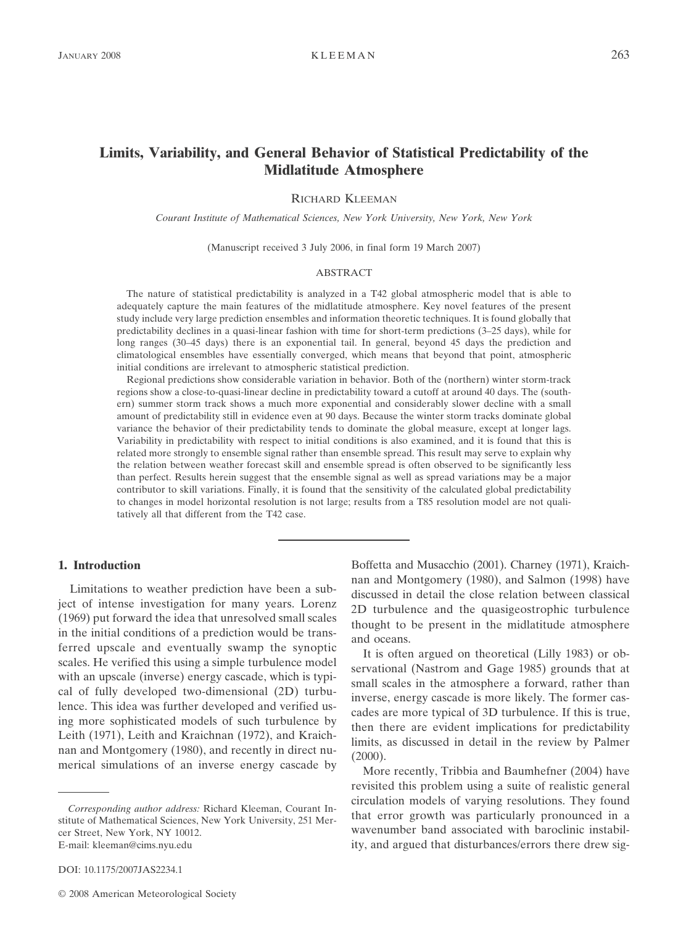# **Limits, Variability, and General Behavior of Statistical Predictability of the Midlatitude Atmosphere**

RICHARD KLEEMAN

*Courant Institute of Mathematical Sciences, New York University, New York, New York*

(Manuscript received 3 July 2006, in final form 19 March 2007)

#### ABSTRACT

The nature of statistical predictability is analyzed in a T42 global atmospheric model that is able to adequately capture the main features of the midlatitude atmosphere. Key novel features of the present study include very large prediction ensembles and information theoretic techniques. It is found globally that predictability declines in a quasi-linear fashion with time for short-term predictions (3–25 days), while for long ranges (30–45 days) there is an exponential tail. In general, beyond 45 days the prediction and climatological ensembles have essentially converged, which means that beyond that point, atmospheric initial conditions are irrelevant to atmospheric statistical prediction.

Regional predictions show considerable variation in behavior. Both of the (northern) winter storm-track regions show a close-to-quasi-linear decline in predictability toward a cutoff at around 40 days. The (southern) summer storm track shows a much more exponential and considerably slower decline with a small amount of predictability still in evidence even at 90 days. Because the winter storm tracks dominate global variance the behavior of their predictability tends to dominate the global measure, except at longer lags. Variability in predictability with respect to initial conditions is also examined, and it is found that this is related more strongly to ensemble signal rather than ensemble spread. This result may serve to explain why the relation between weather forecast skill and ensemble spread is often observed to be significantly less than perfect. Results herein suggest that the ensemble signal as well as spread variations may be a major contributor to skill variations. Finally, it is found that the sensitivity of the calculated global predictability to changes in model horizontal resolution is not large; results from a T85 resolution model are not qualitatively all that different from the T42 case.

#### **1. Introduction**

Limitations to weather prediction have been a subject of intense investigation for many years. Lorenz (1969) put forward the idea that unresolved small scales in the initial conditions of a prediction would be transferred upscale and eventually swamp the synoptic scales. He verified this using a simple turbulence model with an upscale (inverse) energy cascade, which is typical of fully developed two-dimensional (2D) turbulence. This idea was further developed and verified using more sophisticated models of such turbulence by Leith (1971), Leith and Kraichnan (1972), and Kraichnan and Montgomery (1980), and recently in direct numerical simulations of an inverse energy cascade by

*Corresponding author address:* Richard Kleeman, Courant Institute of Mathematical Sciences, New York University, 251 Mercer Street, New York, NY 10012. E-mail: kleeman@cims.nyu.edu

DOI: 10.1175/2007JAS2234.1

© 2008 American Meteorological Society

Boffetta and Musacchio (2001). Charney (1971), Kraichnan and Montgomery (1980), and Salmon (1998) have discussed in detail the close relation between classical 2D turbulence and the quasigeostrophic turbulence thought to be present in the midlatitude atmosphere and oceans.

It is often argued on theoretical (Lilly 1983) or observational (Nastrom and Gage 1985) grounds that at small scales in the atmosphere a forward, rather than inverse, energy cascade is more likely. The former cascades are more typical of 3D turbulence. If this is true, then there are evident implications for predictability limits, as discussed in detail in the review by Palmer  $(2000).$ 

More recently, Tribbia and Baumhefner (2004) have revisited this problem using a suite of realistic general circulation models of varying resolutions. They found that error growth was particularly pronounced in a wavenumber band associated with baroclinic instability, and argued that disturbances/errors there drew sig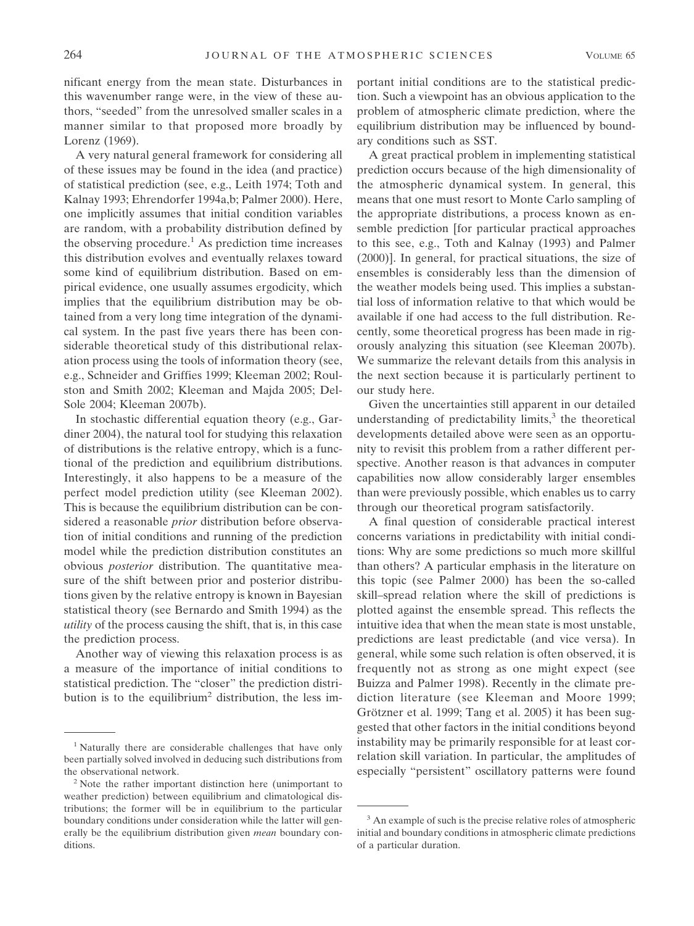nificant energy from the mean state. Disturbances in this wavenumber range were, in the view of these authors, "seeded" from the unresolved smaller scales in a manner similar to that proposed more broadly by Lorenz (1969).

A very natural general framework for considering all of these issues may be found in the idea (and practice) of statistical prediction (see, e.g., Leith 1974; Toth and Kalnay 1993; Ehrendorfer 1994a,b; Palmer 2000). Here, one implicitly assumes that initial condition variables are random, with a probability distribution defined by the observing procedure.<sup>1</sup> As prediction time increases this distribution evolves and eventually relaxes toward some kind of equilibrium distribution. Based on empirical evidence, one usually assumes ergodicity, which implies that the equilibrium distribution may be obtained from a very long time integration of the dynamical system. In the past five years there has been considerable theoretical study of this distributional relaxation process using the tools of information theory (see, e.g., Schneider and Griffies 1999; Kleeman 2002; Roulston and Smith 2002; Kleeman and Majda 2005; Del-Sole 2004; Kleeman 2007b).

In stochastic differential equation theory (e.g., Gardiner 2004), the natural tool for studying this relaxation of distributions is the relative entropy, which is a functional of the prediction and equilibrium distributions. Interestingly, it also happens to be a measure of the perfect model prediction utility (see Kleeman 2002). This is because the equilibrium distribution can be considered a reasonable *prior* distribution before observation of initial conditions and running of the prediction model while the prediction distribution constitutes an obvious *posterior* distribution. The quantitative measure of the shift between prior and posterior distributions given by the relative entropy is known in Bayesian statistical theory (see Bernardo and Smith 1994) as the *utility* of the process causing the shift, that is, in this case the prediction process.

Another way of viewing this relaxation process is as a measure of the importance of initial conditions to statistical prediction. The "closer" the prediction distribution is to the equilibrium<sup>2</sup> distribution, the less important initial conditions are to the statistical prediction. Such a viewpoint has an obvious application to the problem of atmospheric climate prediction, where the equilibrium distribution may be influenced by boundary conditions such as SST.

A great practical problem in implementing statistical prediction occurs because of the high dimensionality of the atmospheric dynamical system. In general, this means that one must resort to Monte Carlo sampling of the appropriate distributions, a process known as ensemble prediction [for particular practical approaches to this see, e.g., Toth and Kalnay (1993) and Palmer (2000)]. In general, for practical situations, the size of ensembles is considerably less than the dimension of the weather models being used. This implies a substantial loss of information relative to that which would be available if one had access to the full distribution. Recently, some theoretical progress has been made in rigorously analyzing this situation (see Kleeman 2007b). We summarize the relevant details from this analysis in the next section because it is particularly pertinent to our study here.

Given the uncertainties still apparent in our detailed understanding of predictability limits, $3$  the theoretical developments detailed above were seen as an opportunity to revisit this problem from a rather different perspective. Another reason is that advances in computer capabilities now allow considerably larger ensembles than were previously possible, which enables us to carry through our theoretical program satisfactorily.

A final question of considerable practical interest concerns variations in predictability with initial conditions: Why are some predictions so much more skillful than others? A particular emphasis in the literature on this topic (see Palmer 2000) has been the so-called skill–spread relation where the skill of predictions is plotted against the ensemble spread. This reflects the intuitive idea that when the mean state is most unstable, predictions are least predictable (and vice versa). In general, while some such relation is often observed, it is frequently not as strong as one might expect (see Buizza and Palmer 1998). Recently in the climate prediction literature (see Kleeman and Moore 1999; Grötzner et al. 1999; Tang et al. 2005) it has been suggested that other factors in the initial conditions beyond instability may be primarily responsible for at least correlation skill variation. In particular, the amplitudes of especially "persistent" oscillatory patterns were found

<sup>&</sup>lt;sup>1</sup> Naturally there are considerable challenges that have only been partially solved involved in deducing such distributions from the observational network.

<sup>&</sup>lt;sup>2</sup> Note the rather important distinction here (unimportant to weather prediction) between equilibrium and climatological distributions; the former will be in equilibrium to the particular boundary conditions under consideration while the latter will generally be the equilibrium distribution given *mean* boundary conditions.

<sup>&</sup>lt;sup>3</sup> An example of such is the precise relative roles of atmospheric initial and boundary conditions in atmospheric climate predictions of a particular duration.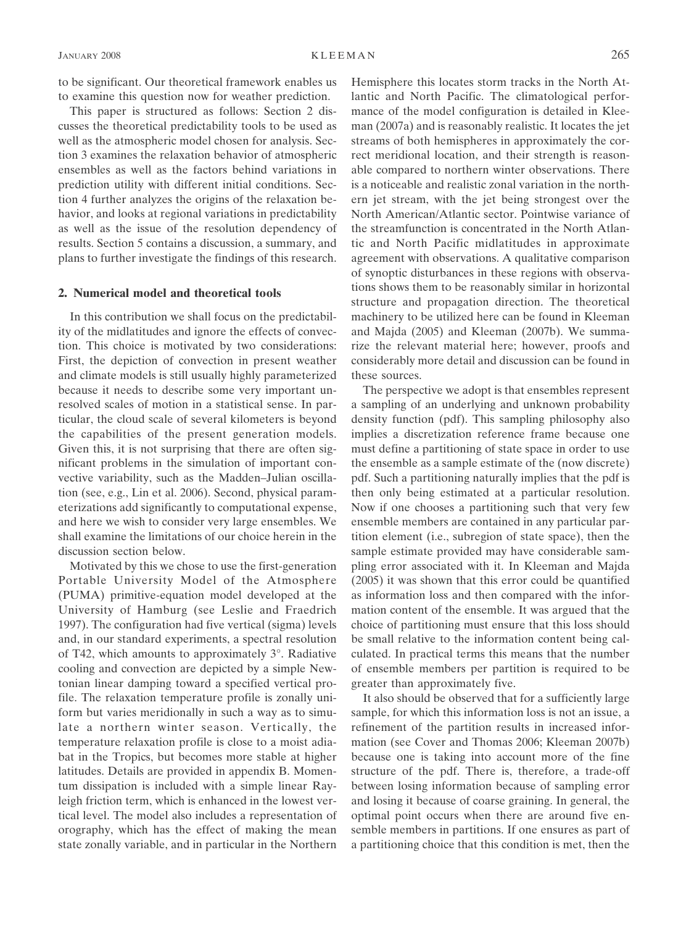to be significant. Our theoretical framework enables us to examine this question now for weather prediction.

This paper is structured as follows: Section 2 discusses the theoretical predictability tools to be used as well as the atmospheric model chosen for analysis. Section 3 examines the relaxation behavior of atmospheric ensembles as well as the factors behind variations in prediction utility with different initial conditions. Section 4 further analyzes the origins of the relaxation behavior, and looks at regional variations in predictability as well as the issue of the resolution dependency of results. Section 5 contains a discussion, a summary, and plans to further investigate the findings of this research.

## **2. Numerical model and theoretical tools**

In this contribution we shall focus on the predictability of the midlatitudes and ignore the effects of convection. This choice is motivated by two considerations: First, the depiction of convection in present weather and climate models is still usually highly parameterized because it needs to describe some very important unresolved scales of motion in a statistical sense. In particular, the cloud scale of several kilometers is beyond the capabilities of the present generation models. Given this, it is not surprising that there are often significant problems in the simulation of important convective variability, such as the Madden–Julian oscillation (see, e.g., Lin et al. 2006). Second, physical parameterizations add significantly to computational expense, and here we wish to consider very large ensembles. We shall examine the limitations of our choice herein in the discussion section below.

Motivated by this we chose to use the first-generation Portable University Model of the Atmosphere (PUMA) primitive-equation model developed at the University of Hamburg (see Leslie and Fraedrich 1997). The configuration had five vertical (sigma) levels and, in our standard experiments, a spectral resolution of T42, which amounts to approximately 3°. Radiative cooling and convection are depicted by a simple Newtonian linear damping toward a specified vertical profile. The relaxation temperature profile is zonally uniform but varies meridionally in such a way as to simulate a northern winter season. Vertically, the temperature relaxation profile is close to a moist adiabat in the Tropics, but becomes more stable at higher latitudes. Details are provided in appendix B. Momentum dissipation is included with a simple linear Rayleigh friction term, which is enhanced in the lowest vertical level. The model also includes a representation of orography, which has the effect of making the mean state zonally variable, and in particular in the Northern

Hemisphere this locates storm tracks in the North Atlantic and North Pacific. The climatological performance of the model configuration is detailed in Kleeman (2007a) and is reasonably realistic. It locates the jet streams of both hemispheres in approximately the correct meridional location, and their strength is reasonable compared to northern winter observations. There is a noticeable and realistic zonal variation in the northern jet stream, with the jet being strongest over the North American/Atlantic sector. Pointwise variance of the streamfunction is concentrated in the North Atlantic and North Pacific midlatitudes in approximate agreement with observations. A qualitative comparison of synoptic disturbances in these regions with observations shows them to be reasonably similar in horizontal structure and propagation direction. The theoretical machinery to be utilized here can be found in Kleeman and Majda (2005) and Kleeman (2007b). We summarize the relevant material here; however, proofs and considerably more detail and discussion can be found in these sources.

The perspective we adopt is that ensembles represent a sampling of an underlying and unknown probability density function (pdf). This sampling philosophy also implies a discretization reference frame because one must define a partitioning of state space in order to use the ensemble as a sample estimate of the (now discrete) pdf. Such a partitioning naturally implies that the pdf is then only being estimated at a particular resolution. Now if one chooses a partitioning such that very few ensemble members are contained in any particular partition element (i.e., subregion of state space), then the sample estimate provided may have considerable sampling error associated with it. In Kleeman and Majda (2005) it was shown that this error could be quantified as information loss and then compared with the information content of the ensemble. It was argued that the choice of partitioning must ensure that this loss should be small relative to the information content being calculated. In practical terms this means that the number of ensemble members per partition is required to be greater than approximately five.

It also should be observed that for a sufficiently large sample, for which this information loss is not an issue, a refinement of the partition results in increased information (see Cover and Thomas 2006; Kleeman 2007b) because one is taking into account more of the fine structure of the pdf. There is, therefore, a trade-off between losing information because of sampling error and losing it because of coarse graining. In general, the optimal point occurs when there are around five ensemble members in partitions. If one ensures as part of a partitioning choice that this condition is met, then the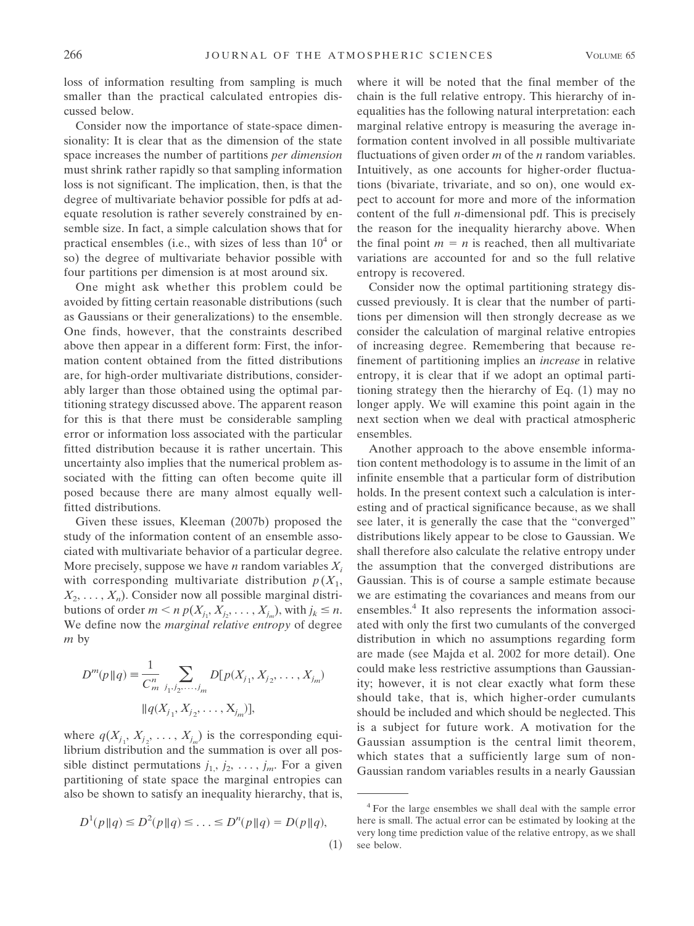loss of information resulting from sampling is much smaller than the practical calculated entropies discussed below.

Consider now the importance of state-space dimensionality: It is clear that as the dimension of the state space increases the number of partitions *per dimension* must shrink rather rapidly so that sampling information loss is not significant. The implication, then, is that the degree of multivariate behavior possible for pdfs at adequate resolution is rather severely constrained by ensemble size. In fact, a simple calculation shows that for practical ensembles (i.e., with sizes of less than  $10<sup>4</sup>$  or so) the degree of multivariate behavior possible with four partitions per dimension is at most around six.

One might ask whether this problem could be avoided by fitting certain reasonable distributions (such as Gaussians or their generalizations) to the ensemble. One finds, however, that the constraints described above then appear in a different form: First, the information content obtained from the fitted distributions are, for high-order multivariate distributions, considerably larger than those obtained using the optimal partitioning strategy discussed above. The apparent reason for this is that there must be considerable sampling error or information loss associated with the particular fitted distribution because it is rather uncertain. This uncertainty also implies that the numerical problem associated with the fitting can often become quite ill posed because there are many almost equally wellfitted distributions.

Given these issues, Kleeman (2007b) proposed the study of the information content of an ensemble associated with multivariate behavior of a particular degree. More precisely, suppose we have *n* random variables *Xi* with corresponding multivariate distribution  $p(X_1,$  $X_2, \ldots, X_n$ ). Consider now all possible marginal distributions of order  $m < n p(X_{j_1}, X_{j_2}, \ldots, X_{j_m})$ , with  $j_k \le n$ . We define now the *marginal relative entropy* of degree *m* by

$$
D^{m}(p||q) = \frac{1}{C_{m}^{n}} \sum_{j_{1},j_{2},\dots,j_{m}} D[p(X_{j_{1}}, X_{j_{2}}, \dots, X_{j_{m}})]
$$

$$
||q(X_{j_{1}}, X_{j_{2}}, \dots, X_{j_{m}})],
$$

where  $q(X_{j_1}, X_{j_2}, \ldots, X_{j_m})$  is the corresponding equilibrium distribution and the summation is over all possible distinct permutations  $j_1, j_2, \ldots, j_m$ . For a given partitioning of state space the marginal entropies can also be shown to satisfy an inequality hierarchy, that is,

$$
D^{1}(p||q) \le D^{2}(p||q) \le \dots \le D^{n}(p||q) = D(p||q),
$$
\n(1)

where it will be noted that the final member of the chain is the full relative entropy. This hierarchy of inequalities has the following natural interpretation: each marginal relative entropy is measuring the average information content involved in all possible multivariate fluctuations of given order *m* of the *n* random variables. Intuitively, as one accounts for higher-order fluctuations (bivariate, trivariate, and so on), one would expect to account for more and more of the information content of the full *n*-dimensional pdf. This is precisely the reason for the inequality hierarchy above. When the final point  $m = n$  is reached, then all multivariate variations are accounted for and so the full relative entropy is recovered.

Consider now the optimal partitioning strategy discussed previously. It is clear that the number of partitions per dimension will then strongly decrease as we consider the calculation of marginal relative entropies of increasing degree. Remembering that because refinement of partitioning implies an *increase* in relative entropy, it is clear that if we adopt an optimal partitioning strategy then the hierarchy of Eq. (1) may no longer apply. We will examine this point again in the next section when we deal with practical atmospheric ensembles.

Another approach to the above ensemble information content methodology is to assume in the limit of an infinite ensemble that a particular form of distribution holds. In the present context such a calculation is interesting and of practical significance because, as we shall see later, it is generally the case that the "converged" distributions likely appear to be close to Gaussian. We shall therefore also calculate the relative entropy under the assumption that the converged distributions are Gaussian. This is of course a sample estimate because we are estimating the covariances and means from our ensembles.4 It also represents the information associated with only the first two cumulants of the converged distribution in which no assumptions regarding form are made (see Majda et al. 2002 for more detail). One could make less restrictive assumptions than Gaussianity; however, it is not clear exactly what form these should take, that is, which higher-order cumulants should be included and which should be neglected. This is a subject for future work. A motivation for the Gaussian assumption is the central limit theorem, which states that a sufficiently large sum of non-Gaussian random variables results in a nearly Gaussian

<sup>&</sup>lt;sup>4</sup> For the large ensembles we shall deal with the sample error here is small. The actual error can be estimated by looking at the very long time prediction value of the relative entropy, as we shall see below.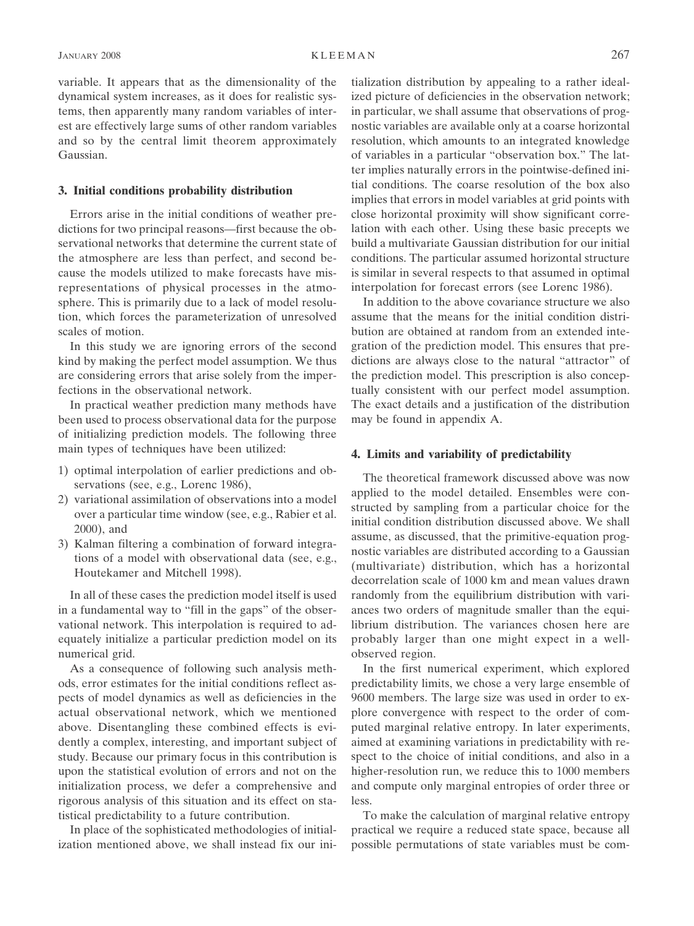variable. It appears that as the dimensionality of the dynamical system increases, as it does for realistic systems, then apparently many random variables of interest are effectively large sums of other random variables and so by the central limit theorem approximately Gaussian.

#### **3. Initial conditions probability distribution**

Errors arise in the initial conditions of weather predictions for two principal reasons—first because the observational networks that determine the current state of the atmosphere are less than perfect, and second because the models utilized to make forecasts have misrepresentations of physical processes in the atmosphere. This is primarily due to a lack of model resolution, which forces the parameterization of unresolved scales of motion.

In this study we are ignoring errors of the second kind by making the perfect model assumption. We thus are considering errors that arise solely from the imperfections in the observational network.

In practical weather prediction many methods have been used to process observational data for the purpose of initializing prediction models. The following three main types of techniques have been utilized:

- 1) optimal interpolation of earlier predictions and observations (see, e.g., Lorenc 1986),
- 2) variational assimilation of observations into a model over a particular time window (see, e.g., Rabier et al. 2000), and
- 3) Kalman filtering a combination of forward integrations of a model with observational data (see, e.g., Houtekamer and Mitchell 1998).

In all of these cases the prediction model itself is used in a fundamental way to "fill in the gaps" of the observational network. This interpolation is required to adequately initialize a particular prediction model on its numerical grid.

As a consequence of following such analysis methods, error estimates for the initial conditions reflect aspects of model dynamics as well as deficiencies in the actual observational network, which we mentioned above. Disentangling these combined effects is evidently a complex, interesting, and important subject of study. Because our primary focus in this contribution is upon the statistical evolution of errors and not on the initialization process, we defer a comprehensive and rigorous analysis of this situation and its effect on statistical predictability to a future contribution.

In place of the sophisticated methodologies of initialization mentioned above, we shall instead fix our initialization distribution by appealing to a rather idealized picture of deficiencies in the observation network; in particular, we shall assume that observations of prognostic variables are available only at a coarse horizontal resolution, which amounts to an integrated knowledge of variables in a particular "observation box." The latter implies naturally errors in the pointwise-defined initial conditions. The coarse resolution of the box also implies that errors in model variables at grid points with close horizontal proximity will show significant correlation with each other. Using these basic precepts we build a multivariate Gaussian distribution for our initial conditions. The particular assumed horizontal structure is similar in several respects to that assumed in optimal interpolation for forecast errors (see Lorenc 1986).

In addition to the above covariance structure we also assume that the means for the initial condition distribution are obtained at random from an extended integration of the prediction model. This ensures that predictions are always close to the natural "attractor" of the prediction model. This prescription is also conceptually consistent with our perfect model assumption. The exact details and a justification of the distribution may be found in appendix A.

## **4. Limits and variability of predictability**

The theoretical framework discussed above was now applied to the model detailed. Ensembles were constructed by sampling from a particular choice for the initial condition distribution discussed above. We shall assume, as discussed, that the primitive-equation prognostic variables are distributed according to a Gaussian (multivariate) distribution, which has a horizontal decorrelation scale of 1000 km and mean values drawn randomly from the equilibrium distribution with variances two orders of magnitude smaller than the equilibrium distribution. The variances chosen here are probably larger than one might expect in a wellobserved region.

In the first numerical experiment, which explored predictability limits, we chose a very large ensemble of 9600 members. The large size was used in order to explore convergence with respect to the order of computed marginal relative entropy. In later experiments, aimed at examining variations in predictability with respect to the choice of initial conditions, and also in a higher-resolution run, we reduce this to 1000 members and compute only marginal entropies of order three or less.

To make the calculation of marginal relative entropy practical we require a reduced state space, because all possible permutations of state variables must be com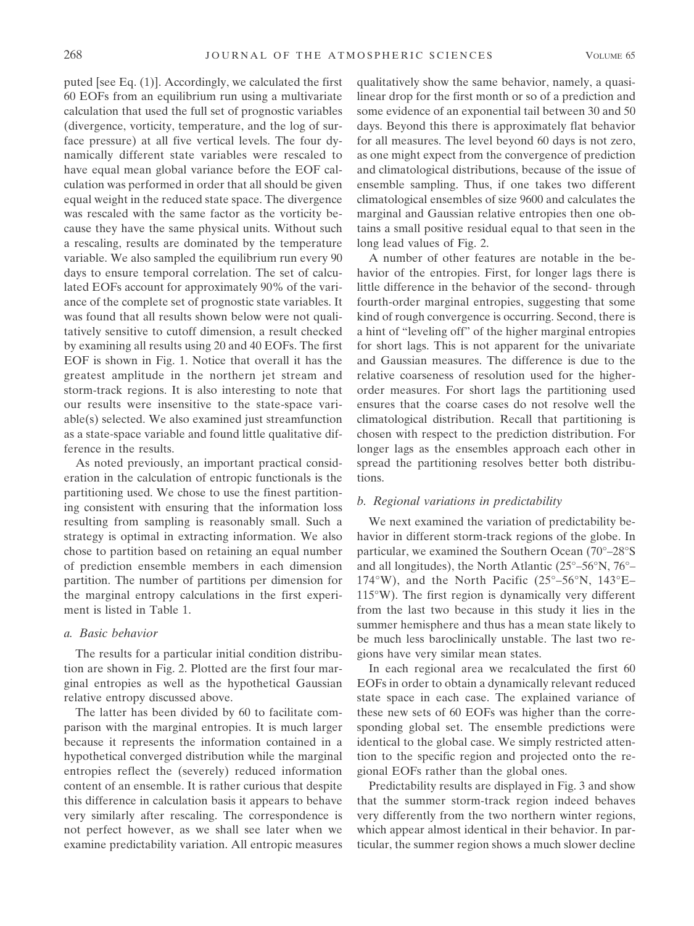puted [see Eq. (1)]. Accordingly, we calculated the first 60 EOFs from an equilibrium run using a multivariate calculation that used the full set of prognostic variables (divergence, vorticity, temperature, and the log of surface pressure) at all five vertical levels. The four dynamically different state variables were rescaled to have equal mean global variance before the EOF calculation was performed in order that all should be given equal weight in the reduced state space. The divergence was rescaled with the same factor as the vorticity because they have the same physical units. Without such a rescaling, results are dominated by the temperature variable. We also sampled the equilibrium run every 90 days to ensure temporal correlation. The set of calculated EOFs account for approximately 90% of the variance of the complete set of prognostic state variables. It was found that all results shown below were not qualitatively sensitive to cutoff dimension, a result checked by examining all results using 20 and 40 EOFs. The first EOF is shown in Fig. 1. Notice that overall it has the greatest amplitude in the northern jet stream and storm-track regions. It is also interesting to note that our results were insensitive to the state-space variable(s) selected. We also examined just streamfunction as a state-space variable and found little qualitative difference in the results.

As noted previously, an important practical consideration in the calculation of entropic functionals is the partitioning used. We chose to use the finest partitioning consistent with ensuring that the information loss resulting from sampling is reasonably small. Such a strategy is optimal in extracting information. We also chose to partition based on retaining an equal number of prediction ensemble members in each dimension partition. The number of partitions per dimension for the marginal entropy calculations in the first experiment is listed in Table 1.

## *a. Basic behavior*

The results for a particular initial condition distribution are shown in Fig. 2. Plotted are the first four marginal entropies as well as the hypothetical Gaussian relative entropy discussed above.

The latter has been divided by 60 to facilitate comparison with the marginal entropies. It is much larger because it represents the information contained in a hypothetical converged distribution while the marginal entropies reflect the (severely) reduced information content of an ensemble. It is rather curious that despite this difference in calculation basis it appears to behave very similarly after rescaling. The correspondence is not perfect however, as we shall see later when we examine predictability variation. All entropic measures

qualitatively show the same behavior, namely, a quasilinear drop for the first month or so of a prediction and some evidence of an exponential tail between 30 and 50 days. Beyond this there is approximately flat behavior for all measures. The level beyond 60 days is not zero, as one might expect from the convergence of prediction and climatological distributions, because of the issue of ensemble sampling. Thus, if one takes two different climatological ensembles of size 9600 and calculates the marginal and Gaussian relative entropies then one obtains a small positive residual equal to that seen in the long lead values of Fig. 2.

A number of other features are notable in the behavior of the entropies. First, for longer lags there is little difference in the behavior of the second- through fourth-order marginal entropies, suggesting that some kind of rough convergence is occurring. Second, there is a hint of "leveling off" of the higher marginal entropies for short lags. This is not apparent for the univariate and Gaussian measures. The difference is due to the relative coarseness of resolution used for the higherorder measures. For short lags the partitioning used ensures that the coarse cases do not resolve well the climatological distribution. Recall that partitioning is chosen with respect to the prediction distribution. For longer lags as the ensembles approach each other in spread the partitioning resolves better both distributions.

#### *b. Regional variations in predictability*

We next examined the variation of predictability behavior in different storm-track regions of the globe. In particular, we examined the Southern Ocean (70°–28°S and all longitudes), the North Atlantic (25°–56°N, 76°– 174°W), and the North Pacific (25°–56°N, 143°E– 115°W). The first region is dynamically very different from the last two because in this study it lies in the summer hemisphere and thus has a mean state likely to be much less baroclinically unstable. The last two regions have very similar mean states.

In each regional area we recalculated the first 60 EOFs in order to obtain a dynamically relevant reduced state space in each case. The explained variance of these new sets of 60 EOFs was higher than the corresponding global set. The ensemble predictions were identical to the global case. We simply restricted attention to the specific region and projected onto the regional EOFs rather than the global ones.

Predictability results are displayed in Fig. 3 and show that the summer storm-track region indeed behaves very differently from the two northern winter regions, which appear almost identical in their behavior. In particular, the summer region shows a much slower decline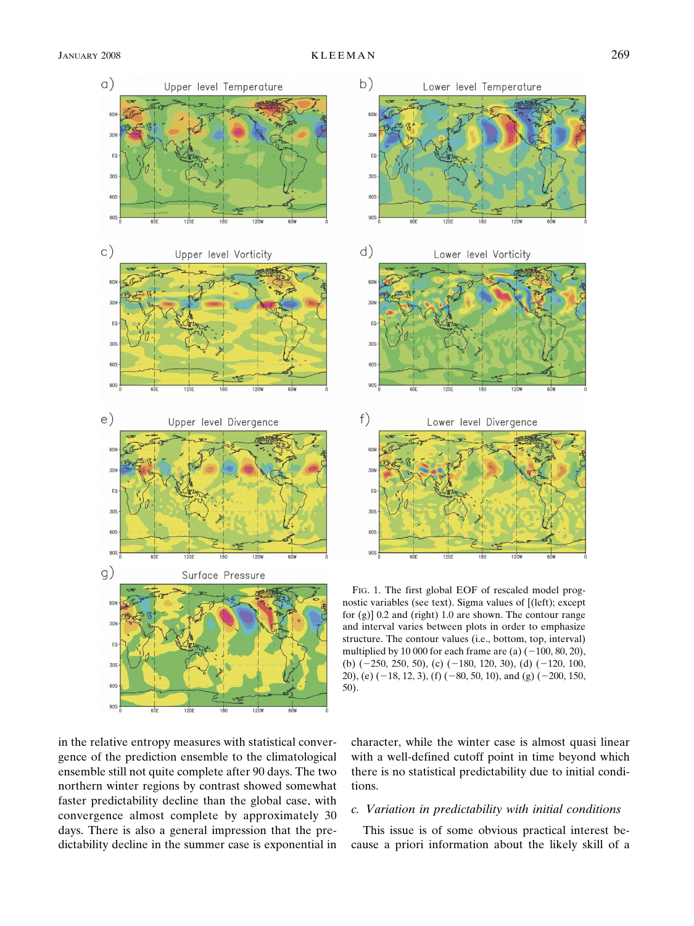



FIG. 1. The first global EOF of rescaled model prognostic variables (see text). Sigma values of [(left); except for (g)] 0.2 and (right) 1.0 are shown. The contour range and interval varies between plots in order to emphasize structure. The contour values (i.e., bottom, top, interval) multiplied by 10 000 for each frame are (a)  $(-100, 80, 20)$ , (b)  $(-250, 250, 50)$ , (c)  $(-180, 120, 30)$ , (d)  $(-120, 100,$ 20), (e)  $(-18, 12, 3)$ , (f)  $(-80, 50, 10)$ , and (g)  $(-200, 150,$ 50).

in the relative entropy measures with statistical convergence of the prediction ensemble to the climatological ensemble still not quite complete after 90 days. The two northern winter regions by contrast showed somewhat faster predictability decline than the global case, with convergence almost complete by approximately 30 days. There is also a general impression that the predictability decline in the summer case is exponential in character, while the winter case is almost quasi linear with a well-defined cutoff point in time beyond which there is no statistical predictability due to initial conditions.

## *c. Variation in predictability with initial conditions*

This issue is of some obvious practical interest because a priori information about the likely skill of a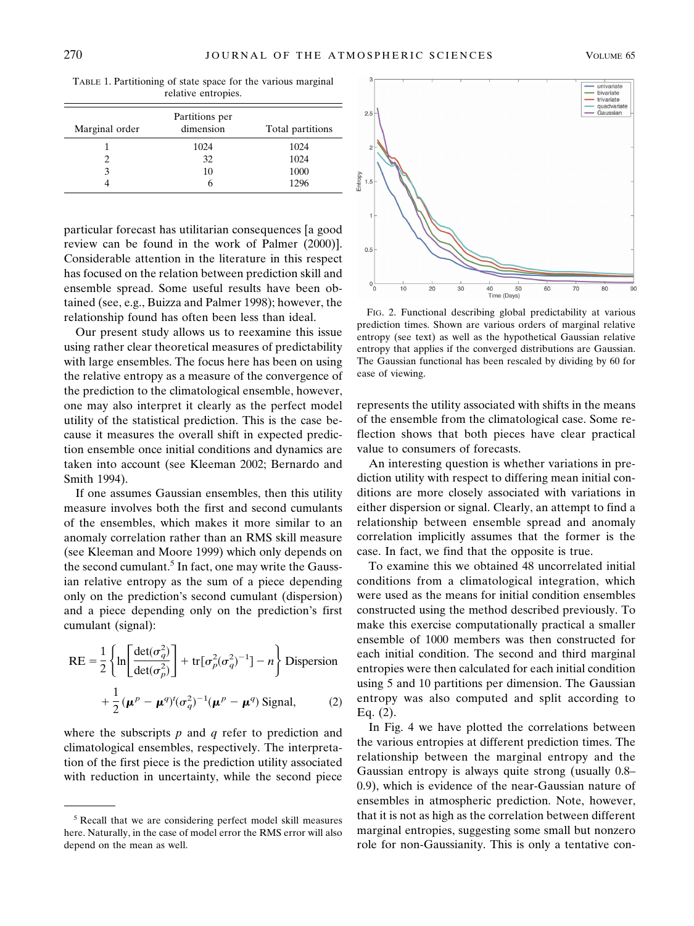TABLE 1. Partitioning of state space for the various marginal relative entropies.

| Marginal order | Partitions per<br>dimension | Total partitions |
|----------------|-----------------------------|------------------|
|                | 1024                        | 1024             |
|                | 32                          | 1024             |
|                | 10                          | 1000             |
|                |                             | 1296             |

particular forecast has utilitarian consequences [a good review can be found in the work of Palmer (2000)]. Considerable attention in the literature in this respect has focused on the relation between prediction skill and ensemble spread. Some useful results have been obtained (see, e.g., Buizza and Palmer 1998); however, the relationship found has often been less than ideal.

Our present study allows us to reexamine this issue using rather clear theoretical measures of predictability with large ensembles. The focus here has been on using the relative entropy as a measure of the convergence of the prediction to the climatological ensemble, however, one may also interpret it clearly as the perfect model utility of the statistical prediction. This is the case because it measures the overall shift in expected prediction ensemble once initial conditions and dynamics are taken into account (see Kleeman 2002; Bernardo and Smith 1994).

If one assumes Gaussian ensembles, then this utility measure involves both the first and second cumulants of the ensembles, which makes it more similar to an anomaly correlation rather than an RMS skill measure (see Kleeman and Moore 1999) which only depends on the second cumulant.<sup>5</sup> In fact, one may write the Gaussian relative entropy as the sum of a piece depending only on the prediction's second cumulant (dispersion) and a piece depending only on the prediction's first cumulant (signal):

$$
RE = \frac{1}{2} \left\{ \ln \left[ \frac{\det(\sigma_q^2)}{\det(\sigma_p^2)} \right] + \text{tr}[\sigma_p^2(\sigma_q^2)^{-1}] - n \right\} \text{Dispersion}
$$

$$
+ \frac{1}{2} (\mu^p - \mu^q)'(\sigma_q^2)^{-1} (\mu^p - \mu^q) \text{Signal}, \tag{2}
$$

where the subscripts *p* and *q* refer to prediction and climatological ensembles, respectively. The interpretation of the first piece is the prediction utility associated with reduction in uncertainty, while the second piece



FIG. 2. Functional describing global predictability at various prediction times. Shown are various orders of marginal relative entropy (see text) as well as the hypothetical Gaussian relative entropy that applies if the converged distributions are Gaussian. The Gaussian functional has been rescaled by dividing by 60 for ease of viewing.

represents the utility associated with shifts in the means of the ensemble from the climatological case. Some reflection shows that both pieces have clear practical value to consumers of forecasts.

An interesting question is whether variations in prediction utility with respect to differing mean initial conditions are more closely associated with variations in either dispersion or signal. Clearly, an attempt to find a relationship between ensemble spread and anomaly correlation implicitly assumes that the former is the case. In fact, we find that the opposite is true.

To examine this we obtained 48 uncorrelated initial conditions from a climatological integration, which were used as the means for initial condition ensembles constructed using the method described previously. To make this exercise computationally practical a smaller ensemble of 1000 members was then constructed for each initial condition. The second and third marginal entropies were then calculated for each initial condition using 5 and 10 partitions per dimension. The Gaussian entropy was also computed and split according to Eq. (2).

In Fig. 4 we have plotted the correlations between the various entropies at different prediction times. The relationship between the marginal entropy and the Gaussian entropy is always quite strong (usually 0.8– 0.9), which is evidence of the near-Gaussian nature of ensembles in atmospheric prediction. Note, however, that it is not as high as the correlation between different marginal entropies, suggesting some small but nonzero role for non-Gaussianity. This is only a tentative con-

<sup>5</sup> Recall that we are considering perfect model skill measures here. Naturally, in the case of model error the RMS error will also depend on the mean as well.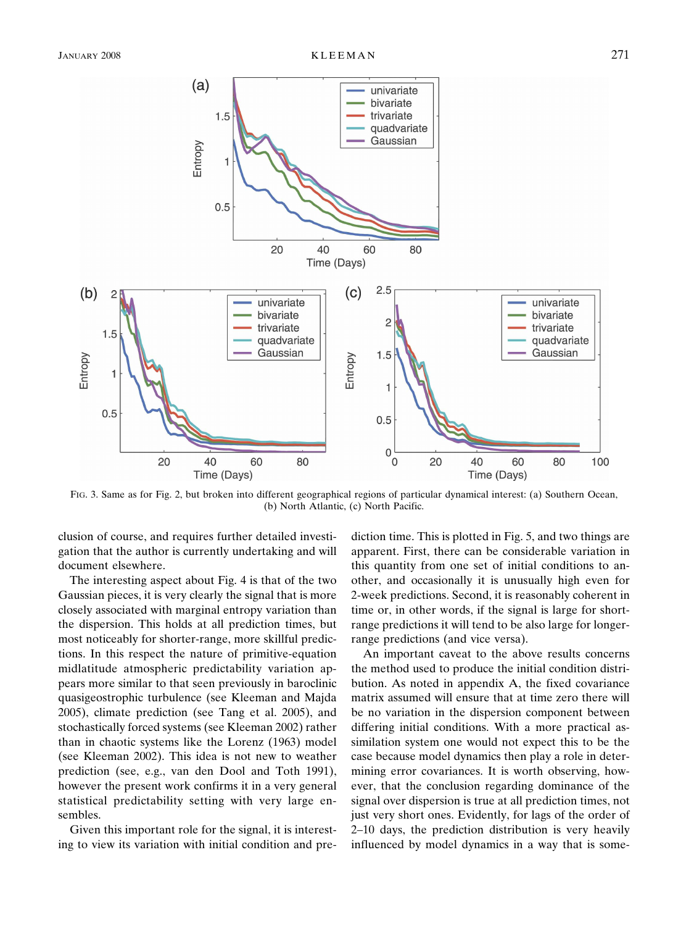

FIG. 3. Same as for Fig. 2, but broken into different geographical regions of particular dynamical interest: (a) Southern Ocean, (b) North Atlantic, (c) North Pacific.

clusion of course, and requires further detailed investigation that the author is currently undertaking and will document elsewhere.

The interesting aspect about Fig. 4 is that of the two Gaussian pieces, it is very clearly the signal that is more closely associated with marginal entropy variation than the dispersion. This holds at all prediction times, but most noticeably for shorter-range, more skillful predictions. In this respect the nature of primitive-equation midlatitude atmospheric predictability variation appears more similar to that seen previously in baroclinic quasigeostrophic turbulence (see Kleeman and Majda 2005), climate prediction (see Tang et al. 2005), and stochastically forced systems (see Kleeman 2002) rather than in chaotic systems like the Lorenz (1963) model (see Kleeman 2002). This idea is not new to weather prediction (see, e.g., van den Dool and Toth 1991), however the present work confirms it in a very general statistical predictability setting with very large ensembles.

Given this important role for the signal, it is interesting to view its variation with initial condition and pre-

diction time. This is plotted in Fig. 5, and two things are apparent. First, there can be considerable variation in this quantity from one set of initial conditions to another, and occasionally it is unusually high even for 2-week predictions. Second, it is reasonably coherent in time or, in other words, if the signal is large for shortrange predictions it will tend to be also large for longerrange predictions (and vice versa).

An important caveat to the above results concerns the method used to produce the initial condition distribution. As noted in appendix A, the fixed covariance matrix assumed will ensure that at time zero there will be no variation in the dispersion component between differing initial conditions. With a more practical assimilation system one would not expect this to be the case because model dynamics then play a role in determining error covariances. It is worth observing, however, that the conclusion regarding dominance of the signal over dispersion is true at all prediction times, not just very short ones. Evidently, for lags of the order of 2–10 days, the prediction distribution is very heavily influenced by model dynamics in a way that is some-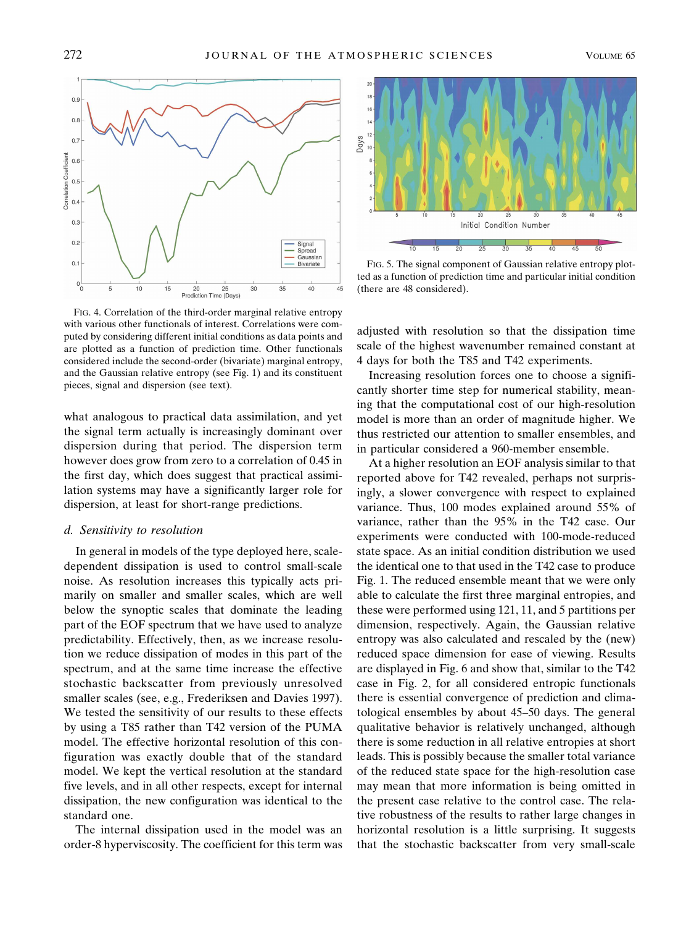

FIG. 4. Correlation of the third-order marginal relative entropy with various other functionals of interest. Correlations were computed by considering different initial conditions as data points and are plotted as a function of prediction time. Other functionals considered include the second-order (bivariate) marginal entropy, and the Gaussian relative entropy (see Fig. 1) and its constituent pieces, signal and dispersion (see text).

what analogous to practical data assimilation, and yet the signal term actually is increasingly dominant over dispersion during that period. The dispersion term however does grow from zero to a correlation of 0.45 in the first day, which does suggest that practical assimilation systems may have a significantly larger role for dispersion, at least for short-range predictions.

#### *d. Sensitivity to resolution*

In general in models of the type deployed here, scaledependent dissipation is used to control small-scale noise. As resolution increases this typically acts primarily on smaller and smaller scales, which are well below the synoptic scales that dominate the leading part of the EOF spectrum that we have used to analyze predictability. Effectively, then, as we increase resolution we reduce dissipation of modes in this part of the spectrum, and at the same time increase the effective stochastic backscatter from previously unresolved smaller scales (see, e.g., Frederiksen and Davies 1997). We tested the sensitivity of our results to these effects by using a T85 rather than T42 version of the PUMA model. The effective horizontal resolution of this configuration was exactly double that of the standard model. We kept the vertical resolution at the standard five levels, and in all other respects, except for internal dissipation, the new configuration was identical to the standard one.

The internal dissipation used in the model was an order-8 hyperviscosity. The coefficient for this term was



FIG. 5. The signal component of Gaussian relative entropy plotted as a function of prediction time and particular initial condition (there are 48 considered).

adjusted with resolution so that the dissipation time scale of the highest wavenumber remained constant at 4 days for both the T85 and T42 experiments.

Increasing resolution forces one to choose a significantly shorter time step for numerical stability, meaning that the computational cost of our high-resolution model is more than an order of magnitude higher. We thus restricted our attention to smaller ensembles, and in particular considered a 960-member ensemble.

At a higher resolution an EOF analysis similar to that reported above for T42 revealed, perhaps not surprisingly, a slower convergence with respect to explained variance. Thus, 100 modes explained around 55% of variance, rather than the 95% in the T42 case. Our experiments were conducted with 100-mode-reduced state space. As an initial condition distribution we used the identical one to that used in the T42 case to produce Fig. 1. The reduced ensemble meant that we were only able to calculate the first three marginal entropies, and these were performed using 121, 11, and 5 partitions per dimension, respectively. Again, the Gaussian relative entropy was also calculated and rescaled by the (new) reduced space dimension for ease of viewing. Results are displayed in Fig. 6 and show that, similar to the T42 case in Fig. 2, for all considered entropic functionals there is essential convergence of prediction and climatological ensembles by about 45–50 days. The general qualitative behavior is relatively unchanged, although there is some reduction in all relative entropies at short leads. This is possibly because the smaller total variance of the reduced state space for the high-resolution case may mean that more information is being omitted in the present case relative to the control case. The relative robustness of the results to rather large changes in horizontal resolution is a little surprising. It suggests that the stochastic backscatter from very small-scale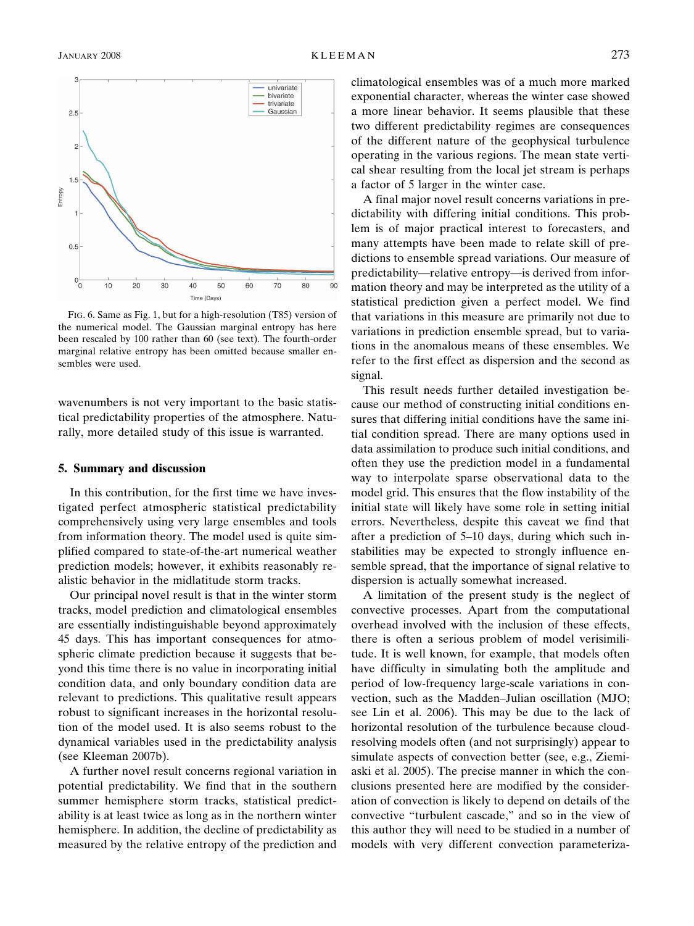

FIG. 6. Same as Fig. 1, but for a high-resolution (T85) version of the numerical model. The Gaussian marginal entropy has here been rescaled by 100 rather than 60 (see text). The fourth-order marginal relative entropy has been omitted because smaller ensembles were used.

wavenumbers is not very important to the basic statistical predictability properties of the atmosphere. Naturally, more detailed study of this issue is warranted.

## **5. Summary and discussion**

In this contribution, for the first time we have investigated perfect atmospheric statistical predictability comprehensively using very large ensembles and tools from information theory. The model used is quite simplified compared to state-of-the-art numerical weather prediction models; however, it exhibits reasonably realistic behavior in the midlatitude storm tracks.

Our principal novel result is that in the winter storm tracks, model prediction and climatological ensembles are essentially indistinguishable beyond approximately 45 days. This has important consequences for atmospheric climate prediction because it suggests that beyond this time there is no value in incorporating initial condition data, and only boundary condition data are relevant to predictions. This qualitative result appears robust to significant increases in the horizontal resolution of the model used. It is also seems robust to the dynamical variables used in the predictability analysis (see Kleeman 2007b).

A further novel result concerns regional variation in potential predictability. We find that in the southern summer hemisphere storm tracks, statistical predictability is at least twice as long as in the northern winter hemisphere. In addition, the decline of predictability as measured by the relative entropy of the prediction and

climatological ensembles was of a much more marked exponential character, whereas the winter case showed a more linear behavior. It seems plausible that these two different predictability regimes are consequences of the different nature of the geophysical turbulence operating in the various regions. The mean state vertical shear resulting from the local jet stream is perhaps a factor of 5 larger in the winter case.

A final major novel result concerns variations in predictability with differing initial conditions. This problem is of major practical interest to forecasters, and many attempts have been made to relate skill of predictions to ensemble spread variations. Our measure of predictability—relative entropy—is derived from information theory and may be interpreted as the utility of a statistical prediction given a perfect model. We find that variations in this measure are primarily not due to variations in prediction ensemble spread, but to variations in the anomalous means of these ensembles. We refer to the first effect as dispersion and the second as signal.

This result needs further detailed investigation because our method of constructing initial conditions ensures that differing initial conditions have the same initial condition spread. There are many options used in data assimilation to produce such initial conditions, and often they use the prediction model in a fundamental way to interpolate sparse observational data to the model grid. This ensures that the flow instability of the initial state will likely have some role in setting initial errors. Nevertheless, despite this caveat we find that after a prediction of 5–10 days, during which such instabilities may be expected to strongly influence ensemble spread, that the importance of signal relative to dispersion is actually somewhat increased.

A limitation of the present study is the neglect of convective processes. Apart from the computational overhead involved with the inclusion of these effects, there is often a serious problem of model verisimilitude. It is well known, for example, that models often have difficulty in simulating both the amplitude and period of low-frequency large-scale variations in convection, such as the Madden–Julian oscillation (MJO; see Lin et al. 2006). This may be due to the lack of horizontal resolution of the turbulence because cloudresolving models often (and not surprisingly) appear to simulate aspects of convection better (see, e.g., Ziemiaski et al. 2005). The precise manner in which the conclusions presented here are modified by the consideration of convection is likely to depend on details of the convective "turbulent cascade," and so in the view of this author they will need to be studied in a number of models with very different convection parameteriza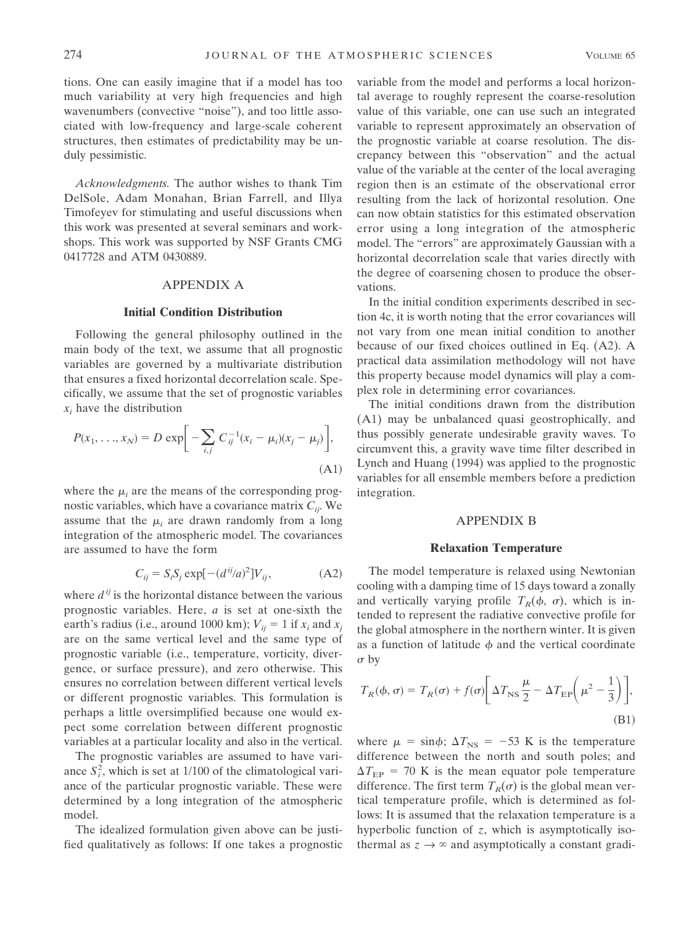tions. One can easily imagine that if a model has too much variability at very high frequencies and high wavenumbers (convective "noise"), and too little associated with low-frequency and large-scale coherent structures, then estimates of predictability may be unduly pessimistic.

*Acknowledgments.* The author wishes to thank Tim DelSole, Adam Monahan, Brian Farrell, and Illya Timofeyev for stimulating and useful discussions when this work was presented at several seminars and workshops. This work was supported by NSF Grants CMG 0417728 and ATM 0430889.

# APPENDIX A

#### **Initial Condition Distribution**

Following the general philosophy outlined in the main body of the text, we assume that all prognostic variables are governed by a multivariate distribution that ensures a fixed horizontal decorrelation scale. Specifically, we assume that the set of prognostic variables  $x_i$  have the distribution

$$
P(x_1, ..., x_N) = D \exp\bigg[-\sum_{i,j} C_{ij}^{-1} (x_i - \mu_i)(x_j - \mu_j)\bigg],
$$
\n(A1)

where the  $\mu_i$  are the means of the corresponding prognostic variables, which have a covariance matrix *Cij*. We assume that the  $\mu_i$  are drawn randomly from a long integration of the atmospheric model. The covariances are assumed to have the form

$$
C_{ij} = S_i S_j \exp[-(d^{ij}/a)^2] V_{ij}, \tag{A2}
$$

where  $d^{ij}$  is the horizontal distance between the various prognostic variables. Here, *a* is set at one-sixth the earth's radius (i.e., around 1000 km);  $V_{ii} = 1$  if  $x_i$  and  $x_j$ are on the same vertical level and the same type of prognostic variable (i.e., temperature, vorticity, divergence, or surface pressure), and zero otherwise. This ensures no correlation between different vertical levels or different prognostic variables. This formulation is perhaps a little oversimplified because one would expect some correlation between different prognostic variables at a particular locality and also in the vertical.

The prognostic variables are assumed to have variance  $S_i^2$ , which is set at 1/100 of the climatological variance of the particular prognostic variable. These were determined by a long integration of the atmospheric model.

The idealized formulation given above can be justified qualitatively as follows: If one takes a prognostic variable from the model and performs a local horizontal average to roughly represent the coarse-resolution value of this variable, one can use such an integrated variable to represent approximately an observation of the prognostic variable at coarse resolution. The discrepancy between this "observation" and the actual value of the variable at the center of the local averaging region then is an estimate of the observational error resulting from the lack of horizontal resolution. One can now obtain statistics for this estimated observation error using a long integration of the atmospheric model. The "errors" are approximately Gaussian with a horizontal decorrelation scale that varies directly with the degree of coarsening chosen to produce the observations.

In the initial condition experiments described in section 4c, it is worth noting that the error covariances will not vary from one mean initial condition to another because of our fixed choices outlined in Eq. (A2). A practical data assimilation methodology will not have this property because model dynamics will play a complex role in determining error covariances.

The initial conditions drawn from the distribution (A1) may be unbalanced quasi geostrophically, and thus possibly generate undesirable gravity waves. To circumvent this, a gravity wave time filter described in Lynch and Huang (1994) was applied to the prognostic variables for all ensemble members before a prediction integration.

## APPENDIX B

#### **Relaxation Temperature**

The model temperature is relaxed using Newtonian cooling with a damping time of 15 days toward a zonally and vertically varying profile  $T_R(\phi, \sigma)$ , which is intended to represent the radiative convective profile for the global atmosphere in the northern winter. It is given as a function of latitude  $\phi$  and the vertical coordinate  $\sigma$  by

$$
T_R(\phi, \sigma) = T_R(\sigma) + f(\sigma) \left[ \Delta T_{\text{NS}} \frac{\mu}{2} - \Delta T_{\text{EP}} \left( \mu^2 - \frac{1}{3} \right) \right],
$$
\n(B1)

where  $\mu = \sin \phi$ ;  $\Delta T_{\text{NS}} = -53$  K is the temperature difference between the north and south poles; and  $\Delta T_{\rm EP}$  = 70 K is the mean equator pole temperature difference. The first term  $T_R(\sigma)$  is the global mean vertical temperature profile, which is determined as follows: It is assumed that the relaxation temperature is a hyperbolic function of *z*, which is asymptotically isothermal as  $z \rightarrow \infty$  and asymptotically a constant gradi